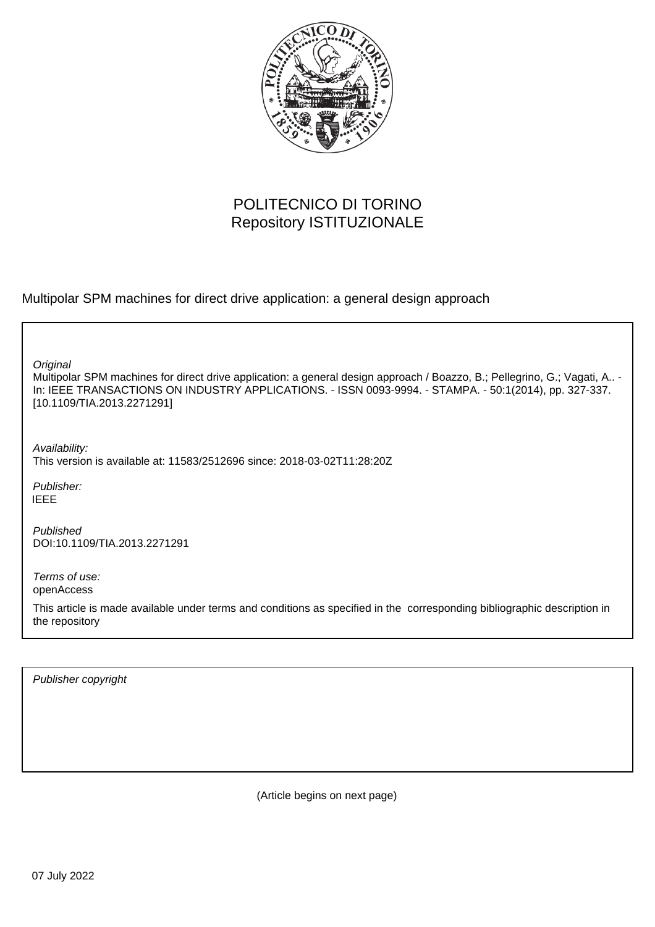

# POLITECNICO DI TORINO Repository ISTITUZIONALE

Multipolar SPM machines for direct drive application: a general design approach

**Original** 

Multipolar SPM machines for direct drive application: a general design approach / Boazzo, B.; Pellegrino, G.; Vagati, A.. - In: IEEE TRANSACTIONS ON INDUSTRY APPLICATIONS. - ISSN 0093-9994. - STAMPA. - 50:1(2014), pp. 327-337. [10.1109/TIA.2013.2271291]

Availability: This version is available at: 11583/2512696 since: 2018-03-02T11:28:20Z

Publisher: IEEE

Published DOI:10.1109/TIA.2013.2271291

Terms of use: openAccess

This article is made available under terms and conditions as specified in the corresponding bibliographic description in the repository

Publisher copyright

(Article begins on next page)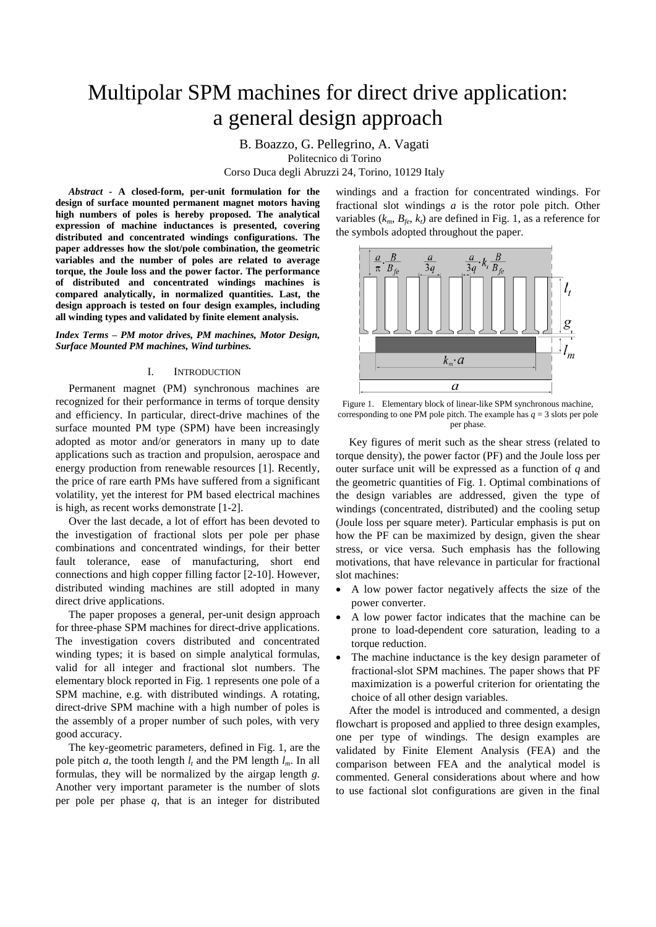# Multipolar SPM machines for direct drive application: a general design approach

B. Boazzo, G. Pellegrino, A. Vagati

Politecnico di Torino

Corso Duca degli Abruzzi 24, Torino, 10129 Italy

*Abstract* **- A closed-form, per-unit formulation for the design of surface mounted permanent magnet motors having high numbers of poles is hereby proposed. The analytical expression of machine inductances is presented, covering distributed and concentrated windings configurations. The paper addresses how the slot/pole combination, the geometric variables and the number of poles are related to average torque, the Joule loss and the power factor. The performance of distributed and concentrated windings machines is compared analytically, in normalized quantities. Last, the design approach is tested on four design examples, including all winding types and validated by finite element analysis.**

*Index Terms – PM motor drives, PM machines, Motor Design, Surface Mounted PM machines, Wind turbines.*

# I. INTRODUCTION

Permanent magnet (PM) synchronous machines are recognized for their performance in terms of torque density and efficiency. In particular, direct-drive machines of the surface mounted PM type (SPM) have been increasingly adopted as motor and/or generators in many up to date applications such as traction and propulsion, aerospace and energy production from renewable resources [1]. Recently, the price of rare earth PMs have suffered from a significant volatility, yet the interest for PM based electrical machines is high, as recent works demonstrate [1-2].

Over the last decade, a lot of effort has been devoted to the investigation of fractional slots per pole per phase combinations and concentrated windings, for their better fault tolerance, ease of manufacturing, short end connections and high copper filling factor [2-10]. However, distributed winding machines are still adopted in many direct drive applications.

The paper proposes a general, per-unit design approach for three-phase SPM machines for direct-drive applications. The investigation covers distributed and concentrated winding types; it is based on simple analytical formulas, valid for all integer and fractional slot numbers. The elementary block reported in Fig. 1 represents one pole of a SPM machine, e.g. with distributed windings. A rotating, direct-drive SPM machine with a high number of poles is the assembly of a proper number of such poles, with very good accuracy.

The key-geometric parameters, defined in Fig. 1, are the pole pitch *a*, the tooth length  $l_t$  and the PM length  $l_m$ . In all formulas, they will be normalized by the airgap length *g*. Another very important parameter is the number of slots per pole per phase *q*, that is an integer for distributed

windings and a fraction for concentrated windings. For fractional slot windings *a* is the rotor pole pitch. Other variables  $(k_m, B_{\ell_e}, k_t)$  are defined in Fig. 1, as a reference for the symbols adopted throughout the paper.



Figure 1. Elementary block of linear-like SPM synchronous machine, corresponding to one PM pole pitch. The example has  $q = 3$  slots per pole per phase.

Key figures of merit such as the shear stress (related to torque density), the power factor (PF) and the Joule loss per outer surface unit will be expressed as a function of *q* and the geometric quantities of Fig. 1. Optimal combinations of the design variables are addressed, given the type of windings (concentrated, distributed) and the cooling setup (Joule loss per square meter). Particular emphasis is put on how the PF can be maximized by design, given the shear stress, or vice versa. Such emphasis has the following motivations, that have relevance in particular for fractional slot machines:

- A low power factor negatively affects the size of the power converter.
- A low power factor indicates that the machine can be prone to load-dependent core saturation, leading to a torque reduction.
- The machine inductance is the key design parameter of fractional-slot SPM machines. The paper shows that PF maximization is a powerful criterion for orientating the choice of all other design variables.

After the model is introduced and commented, a design flowchart is proposed and applied to three design examples, one per type of windings. The design examples are validated by Finite Element Analysis (FEA) and the comparison between FEA and the analytical model is commented. General considerations about where and how to use factional slot configurations are given in the final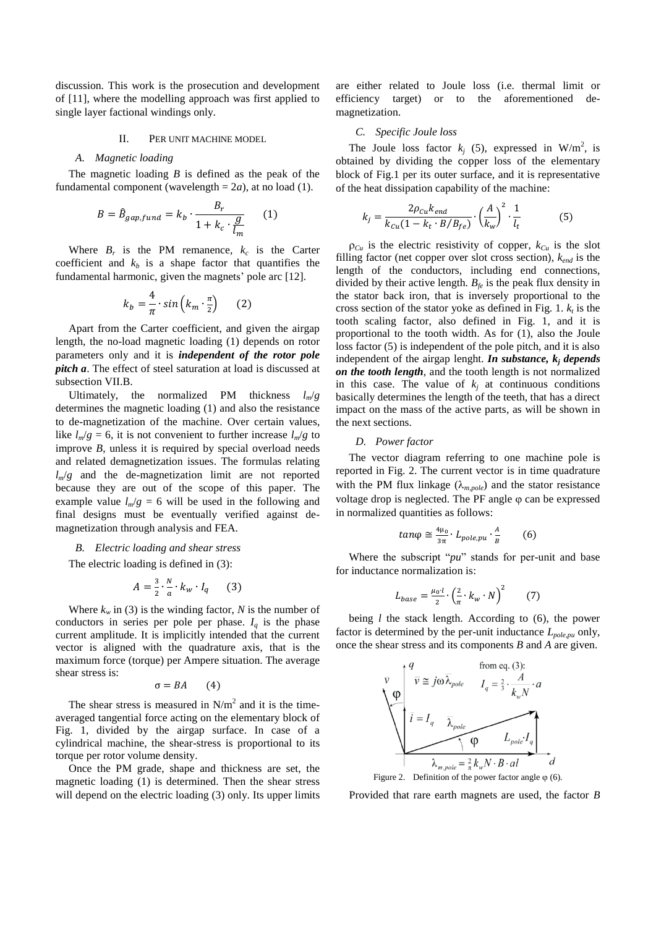discussion. This work is the prosecution and development of [11], where the modelling approach was first applied to single layer factional windings only.

# II. PER UNIT MACHINE MODEL

#### *A. Magnetic loading*

The magnetic loading *B* is defined as the peak of the fundamental component (wavelength  $= 2a$ ), at no load (1).

$$
B = \hat{B}_{gap, fund} = k_b \cdot \frac{B_r}{1 + k_c \cdot \frac{g}{l_m}}
$$
 (1)

Where  $B_r$  is the PM remanence,  $k_c$  is the Carter coefficient and  $k_b$  is a shape factor that quantifies the fundamental harmonic, given the magnets' pole arc [12].

$$
k_b = \frac{4}{\pi} \cdot \sin\left(k_m \cdot \frac{\pi}{2}\right) \qquad (2)
$$

Apart from the Carter coefficient, and given the airgap length, the no-load magnetic loading (1) depends on rotor parameters only and it is *independent of the rotor pole pitch a*. The effect of steel saturation at load is discussed at subsection VII.B.

Ultimately, the normalized PM thickness *lm*/*g* determines the magnetic loading (1) and also the resistance to de-magnetization of the machine. Over certain values, like  $l_m/g = 6$ , it is not convenient to further increase  $l_m/g$  to improve *B*, unless it is required by special overload needs and related demagnetization issues. The formulas relating  $l_m/g$  and the de-magnetization limit are not reported because they are out of the scope of this paper. The example value  $l_m/g = 6$  will be used in the following and final designs must be eventually verified against demagnetization through analysis and FEA.

#### *B. Electric loading and shear stress*

The electric loading is defined in (3):

$$
A = \frac{3}{2} \cdot \frac{N}{a} \cdot k_w \cdot l_q \qquad (3)
$$

Where  $k_w$  in (3) is the winding factor, *N* is the number of conductors in series per pole per phase.  $I_q$  is the phase current amplitude. It is implicitly intended that the current vector is aligned with the quadrature axis, that is the maximum force (torque) per Ampere situation. The average shear stress is:

$$
\sigma = BA \qquad (4)
$$

The shear stress is measured in  $N/m^2$  and it is the timeaveraged tangential force acting on the elementary block of Fig. 1, divided by the airgap surface. In case of a cylindrical machine, the shear-stress is proportional to its torque per rotor volume density.

Once the PM grade, shape and thickness are set, the magnetic loading (1) is determined. Then the shear stress will depend on the electric loading (3) only. Its upper limits

are either related to Joule loss (i.e. thermal limit or efficiency target) or to the aforementioned demagnetization.

#### *C. Specific Joule loss*

The Joule loss factor  $k_j$  (5), expressed in W/m<sup>2</sup>, is obtained by dividing the copper loss of the elementary block of Fig.1 per its outer surface, and it is representative of the heat dissipation capability of the machine:

$$
k_j = \frac{2\rho_{cu}k_{end}}{k_{cu}(1 - k_t \cdot B/B_{fe})} \cdot \left(\frac{A}{k_w}\right)^2 \cdot \frac{1}{l_t}
$$
(5)

 $\rho_{Cu}$  is the electric resistivity of copper,  $k_{Cu}$  is the slot filling factor (net copper over slot cross section), *kend* is the length of the conductors, including end connections, divided by their active length.  $B_f$  is the peak flux density in the stator back iron, that is inversely proportional to the cross section of the stator yoke as defined in Fig. 1.  $k_t$  is the tooth scaling factor, also defined in Fig. 1, and it is proportional to the tooth width. As for (1), also the Joule loss factor (5) is independent of the pole pitch, and it is also independent of the airgap lenght. *In substance, k<sup>j</sup> depends on the tooth length*, and the tooth length is not normalized in this case. The value of  $k_j$  at continuous conditions basically determines the length of the teeth, that has a direct impact on the mass of the active parts, as will be shown in the next sections.

#### *D. Power factor*

The vector diagram referring to one machine pole is reported in Fig. 2. The current vector is in time quadrature with the PM flux linkage  $(\lambda_{m,pole})$  and the stator resistance voltage drop is neglected. The PF angle  $\varphi$  can be expressed in normalized quantities as follows:

$$
tan \varphi \cong \frac{4\mu_0}{3\pi} \cdot L_{pole,pu} \cdot \frac{A}{B} \qquad (6)
$$

Where the subscript "*pu*" stands for per-unit and base for inductance normalization is:

$$
L_{base} = \frac{\mu_0 \cdot l}{2} \cdot \left(\frac{2}{\pi} \cdot k_w \cdot N\right)^2 \tag{7}
$$

being *l* the stack length. According to (6), the power factor is determined by the per-unit inductance *Lpole,pu* only, once the shear stress and its components *B* and *A* are given.



Provided that rare earth magnets are used, the factor *B*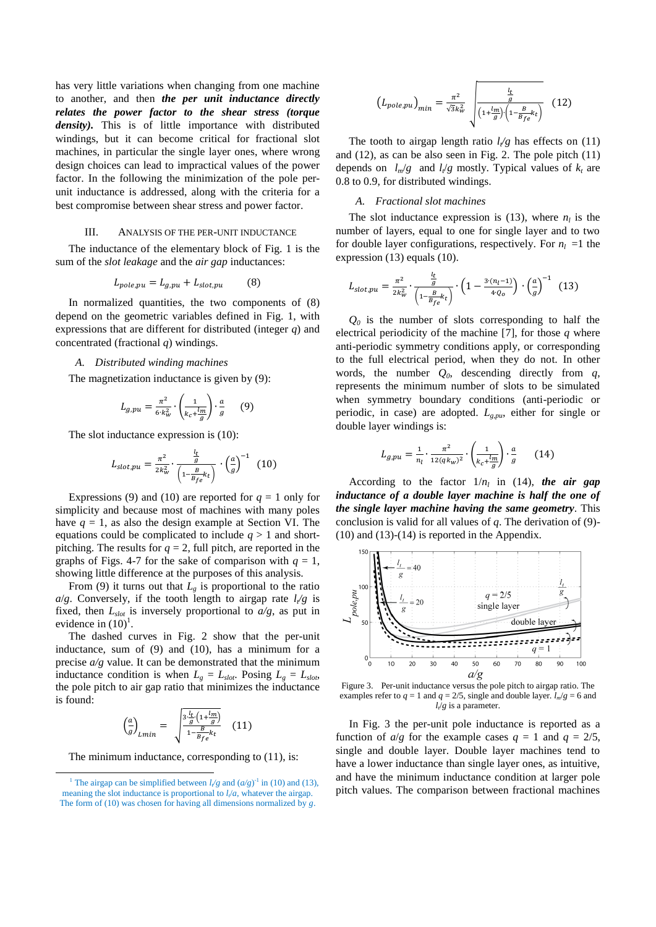has very little variations when changing from one machine to another, and then *the per unit inductance directly relates the power factor to the shear stress (torque*  density). This is of little importance with distributed windings, but it can become critical for fractional slot machines, in particular the single layer ones, where wrong design choices can lead to impractical values of the power factor. In the following the minimization of the pole perunit inductance is addressed, along with the criteria for a best compromise between shear stress and power factor.

# III. ANALYSIS OF THE PER-UNIT INDUCTANCE

The inductance of the elementary block of Fig. 1 is the sum of the *slot leakage* and the *air gap* inductances:

$$
L_{pole,pu} = L_{g,pu} + L_{slot,pu} \tag{8}
$$

In normalized quantities, the two components of (8) depend on the geometric variables defined in Fig. 1, with expressions that are different for distributed (integer *q*) and concentrated (fractional *q*) windings.

#### *A. Distributed winding machines*

The magnetization inductance is given by (9):

$$
L_{g,pu} = \frac{\pi^2}{6 \cdot k_w^2} \cdot \left(\frac{1}{k_c + \frac{l_m}{g}}\right) \cdot \frac{a}{g} \qquad (9)
$$

The slot inductance expression is (10):

$$
L_{slot,pu} = \frac{\pi^2}{2k_w^2} \cdot \frac{\frac{l_t}{g}}{\left(1 - \frac{B}{B_f e} k_t\right)} \cdot \left(\frac{a}{g}\right)^{-1} \tag{10}
$$

Expressions (9) and (10) are reported for  $q = 1$  only for simplicity and because most of machines with many poles have  $q = 1$ , as also the design example at Section VI. The equations could be complicated to include  $q > 1$  and shortpitching. The results for  $q = 2$ , full pitch, are reported in the graphs of Figs. 4-7 for the sake of comparison with  $q = 1$ , showing little difference at the purposes of this analysis.

From (9) it turns out that  $L<sub>o</sub>$  is proportional to the ratio  $a/g$ . Conversely, if the tooth length to airgap rate  $l/g$  is fixed, then *Lslot* is inversely proportional to *a/g*, as put in evidence in  $(10)^1$ .

The dashed curves in Fig. 2 show that the per-unit inductance, sum of (9) and (10), has a minimum for a precise *a/g* value. It can be demonstrated that the minimum inductance condition is when  $L_g = L_{slot}$ . Posing  $L_g = L_{slot}$ , the pole pitch to air gap ratio that minimizes the inductance is found:

$$
\left(\frac{a}{g}\right)_{Lmin} = \sqrt{\frac{3\frac{l_t}{g}\left(1 + \frac{l_m}{g}\right)}{1 - \frac{B}{B_f e}k_t}}
$$
 (11)

The minimum inductance, corresponding to  $(11)$ , is:

l

$$
\left(L_{pole,pu}\right)_{min} = \frac{\pi^2}{\sqrt{3}k_w^2} \sqrt{\frac{\frac{l_t}{g}}{\left(1 + \frac{l_m}{g}\right)\left(1 - \frac{B}{B_f e}k_t\right)}}\tag{12}
$$

The tooth to airgap length ratio  $l_{\ell}$  has effects on (11) and (12), as can be also seen in Fig. 2. The pole pitch (11) depends on  $l_m/g$  and  $l_t/g$  mostly. Typical values of  $k_t$  are 0.8 to 0.9, for distributed windings.

# *A. Fractional slot machines*

The slot inductance expression is (13), where  $n_l$  is the number of layers, equal to one for single layer and to two for double layer configurations, respectively. For  $n_l = 1$  the expression (13) equals (10).

$$
L_{slot,pu} = \frac{\pi^2}{2k_w^2} \cdot \frac{\frac{l_t}{g}}{\left(1 - \frac{B}{B_{fe}}k_t\right)} \cdot \left(1 - \frac{3 \cdot (n_l - 1)}{4 \cdot Q_0}\right) \cdot \left(\frac{a}{g}\right)^{-1} \tag{13}
$$

 $Q_0$  is the number of slots corresponding to half the electrical periodicity of the machine [7], for those *q* where anti-periodic symmetry conditions apply, or corresponding to the full electrical period, when they do not. In other words, the number  $Q_0$ , descending directly from  $q$ , represents the minimum number of slots to be simulated when symmetry boundary conditions (anti-periodic or periodic, in case) are adopted. *Lg,pu*, either for single or double layer windings is:

$$
L_{g,pu} = \frac{1}{n_l} \cdot \frac{\pi^2}{12(qk_w)^2} \cdot \left(\frac{1}{k_c + \frac{l_m}{g}}\right) \cdot \frac{a}{g} \qquad (14)
$$

According to the factor  $1/n_l$  in (14), the air gap *inductance of a double layer machine is half the one of the single layer machine having the same geometry*. This conclusion is valid for all values of *q*. The derivation of (9)- (10) and (13)-(14) is reported in the Appendix.



Figure 3. Per-unit inductance versus the pole pitch to airgap ratio. The examples refer to  $q = 1$  and  $q = 2/5$ , single and double layer.  $l_m / g = 6$  and *lt*/*g* is a parameter.

In Fig. 3 the per-unit pole inductance is reported as a function of  $a/g$  for the example cases  $q = 1$  and  $q = 2/5$ , single and double layer. Double layer machines tend to have a lower inductance than single layer ones, as intuitive, and have the minimum inductance condition at larger pole pitch values. The comparison between fractional machines

<sup>&</sup>lt;sup>1</sup> The airgap can be simplified between  $l/g$  and  $(a/g)^{-1}$  in (10) and (13), meaning the slot inductance is proportional to  $l/a$ , whatever the airgap. The form of (10) was chosen for having all dimensions normalized by *g*.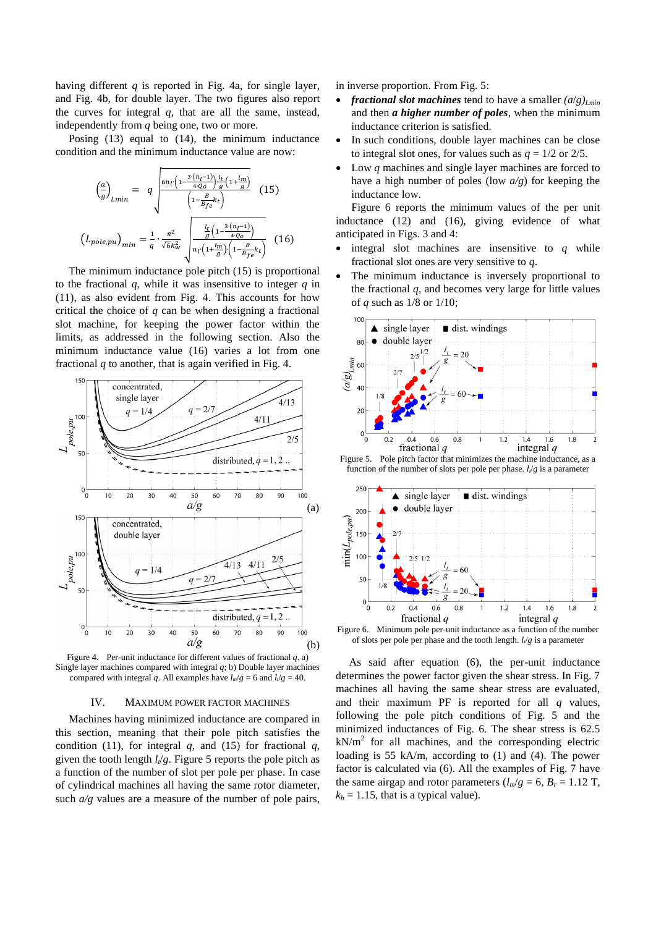having different *q* is reported in Fig. 4a, for single layer, and Fig. 4b, for double layer. The two figures also report the curves for integral *q*, that are all the same, instead, independently from *q* being one, two or more.

Posing (13) equal to (14), the minimum inductance condition and the minimum inductance value are now:

$$
\left(\frac{a}{g}\right)_{Lmin} = q \sqrt{\frac{6n_l \left(1 - \frac{3\cdot (n_l - 1)}{4Q_0}\right) \frac{l_t}{g} \left(1 + \frac{l_m}{g}\right)}{\left(1 - \frac{B}{B_f e} k_t\right)}} (15)
$$
\n
$$
\left(L_{pole,pu}\right)_{min} = \frac{1}{q} \cdot \frac{\pi^2}{\sqrt{6}k_w^2} \sqrt{\frac{\frac{l_t}{g} \left(1 - \frac{3\cdot (n_l - 1)}{4Q_0}\right)}{n_l \left(1 + \frac{l_m}{g}\right) \cdot \left(1 - \frac{B}{B_f e} k_t\right)}} (16)
$$

The minimum inductance pole pitch (15) is proportional to the fractional  $q$ , while it was insensitive to integer  $q$  in (11), as also evident from Fig. 4. This accounts for how critical the choice of *q* can be when designing a fractional slot machine, for keeping the power factor within the limits, as addressed in the following section. Also the minimum inductance value (16) varies a lot from one fractional *q* to another, that is again verified in Fig. 4.



Figure 4. Per-unit inductance for different values of fractional *q*. a) Single layer machines compared with integral *q*; b) Double layer machines compared with integral *q*. All examples have  $l_m/g = 6$  and  $l_f/g = 40$ .

# IV. MAXIMUM POWER FACTOR MACHINES

Machines having minimized inductance are compared in this section, meaning that their pole pitch satisfies the condition (11), for integral  $q$ , and (15) for fractional  $q$ , given the tooth length *l<sup>t</sup>* /*g*. Figure 5 reports the pole pitch as a function of the number of slot per pole per phase. In case of cylindrical machines all having the same rotor diameter, such  $a/g$  values are a measure of the number of pole pairs,

in inverse proportion. From Fig. 5:

- *fractional slot machines* tend to have a smaller  $(a/g)_{Lmin}$ and then *a higher number of poles*, when the minimum inductance criterion is satisfied.
- In such conditions, double layer machines can be close to integral slot ones, for values such as  $q = 1/2$  or 2/5.
- Low *q* machines and single layer machines are forced to have a high number of poles (low *a/g*) for keeping the inductance low.

Figure 6 reports the minimum values of the per unit inductance (12) and (16), giving evidence of what anticipated in Figs. 3 and 4:

- $\bullet$  integral slot machines are insensitive to  $q$  while fractional slot ones are very sensitive to *q*.
- The minimum inductance is inversely proportional to the fractional  $q$ , and becomes very large for little values of *q* such as 1/8 or 1/10;



Figure 5. Pole pitch factor that minimizes the machine inductance, as a function of the number of slots per pole per phase. *lt*/*g* is a parameter



Figure 6. Minimum pole per-unit inductance as a function of the number of slots per pole per phase and the tooth length.  $l_{\ell}/g$  is a parameter

As said after equation (6), the per-unit inductance determines the power factor given the shear stress. In Fig. 7 machines all having the same shear stress are evaluated, and their maximum PF is reported for all *q* values, following the pole pitch conditions of Fig. 5 and the minimized inductances of Fig. 6. The shear stress is 62.5  $kN/m<sup>2</sup>$  for all machines, and the corresponding electric loading is 55 kA/m, according to (1) and (4). The power factor is calculated via (6). All the examples of Fig. 7 have the same airgap and rotor parameters  $(l_m/g = 6, B_r = 1.12$  T,  $k_b = 1.15$ , that is a typical value).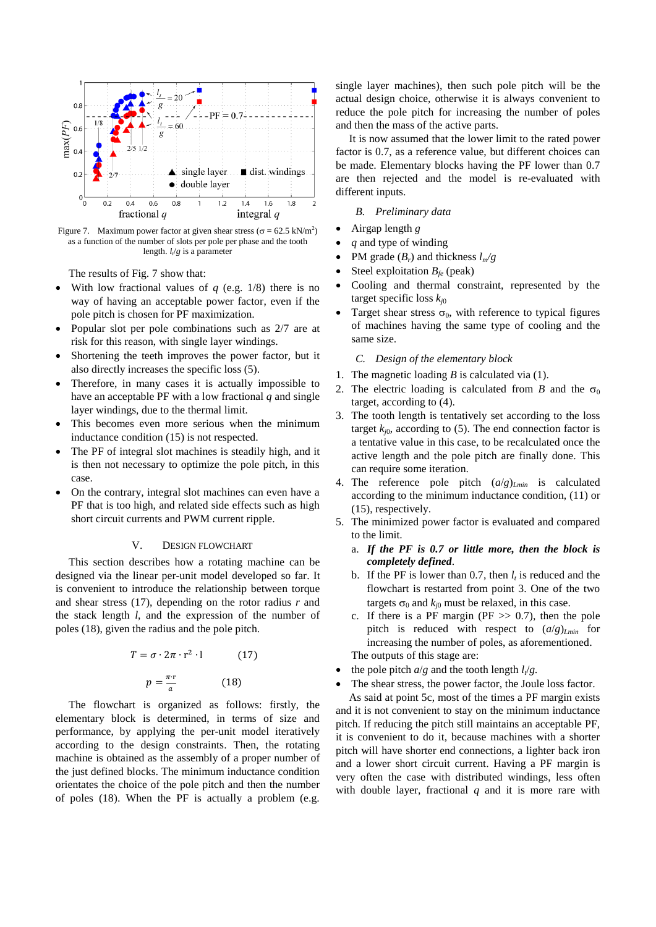

Figure 7. Maximum power factor at given shear stress ( $\sigma = 62.5 \text{ kN/m}^2$ ) as a function of the number of slots per pole per phase and the tooth length. *lt*/*g* is a parameter

The results of Fig. 7 show that:

- With low fractional values of *q* (e.g. 1/8) there is no way of having an acceptable power factor, even if the pole pitch is chosen for PF maximization.
- Popular slot per pole combinations such as 2/7 are at risk for this reason, with single layer windings.
- Shortening the teeth improves the power factor, but it also directly increases the specific loss (5).
- Therefore, in many cases it is actually impossible to have an acceptable PF with a low fractional *q* and single layer windings, due to the thermal limit.
- This becomes even more serious when the minimum inductance condition (15) is not respected.
- The PF of integral slot machines is steadily high, and it is then not necessary to optimize the pole pitch, in this case.
- On the contrary, integral slot machines can even have a PF that is too high, and related side effects such as high short circuit currents and PWM current ripple.

# V. DESIGN FLOWCHART

This section describes how a rotating machine can be designed via the linear per-unit model developed so far. It is convenient to introduce the relationship between torque and shear stress (17), depending on the rotor radius *r* and the stack length *l*, and the expression of the number of poles (18), given the radius and the pole pitch.

$$
T = \sigma \cdot 2\pi \cdot r^2 \cdot 1 \tag{17}
$$

$$
p = \frac{\pi \cdot r}{a} \tag{18}
$$

The flowchart is organized as follows: firstly, the elementary block is determined, in terms of size and performance, by applying the per-unit model iteratively according to the design constraints. Then, the rotating machine is obtained as the assembly of a proper number of the just defined blocks. The minimum inductance condition orientates the choice of the pole pitch and then the number of poles (18). When the PF is actually a problem (e.g.

single layer machines), then such pole pitch will be the actual design choice, otherwise it is always convenient to reduce the pole pitch for increasing the number of poles and then the mass of the active parts.

It is now assumed that the lower limit to the rated power factor is 0.7, as a reference value, but different choices can be made. Elementary blocks having the PF lower than 0.7 are then rejected and the model is re-evaluated with different inputs.

# *B. Preliminary data*

- Airgap length *g*
- *q* and type of winding
- PM grade (*Br*) and thickness *lm/g*
- Steel exploitation *Bfe* (peak)
- Cooling and thermal constraint, represented by the target specific loss *kj*<sup>0</sup>
- Target shear stress  $\sigma_0$ , with reference to typical figures of machines having the same type of cooling and the same size.

# *C. Design of the elementary block*

- 1. The magnetic loading *B* is calculated via (1).
- 2. The electric loading is calculated from *B* and the  $\sigma_0$ target, according to (4).
- 3. The tooth length is tentatively set according to the loss target  $k_{i0}$ , according to (5). The end connection factor is a tentative value in this case, to be recalculated once the active length and the pole pitch are finally done. This can require some iteration.
- 4. The reference pole pitch (*a*/*g*)*Lmin* is calculated according to the minimum inductance condition, (11) or (15), respectively.
- 5. The minimized power factor is evaluated and compared to the limit.
	- a. *If the PF is 0.7 or little more, then the block is completely defined*.
	- b. If the PF is lower than 0.7, then  $l_t$  is reduced and the flowchart is restarted from point 3. One of the two targets  $\sigma_0$  and  $k_{i0}$  must be relaxed, in this case.
	- c. If there is a PF margin ( $PF \gg 0.7$ ), then the pole pitch is reduced with respect to (*a*/*g*)*Lmin* for increasing the number of poles, as aforementioned. The outputs of this stage are:
- the pole pitch  $a/g$  and the tooth length  $l_f/g$ .
- The shear stress, the power factor, the Joule loss factor.

As said at point 5c, most of the times a PF margin exists and it is not convenient to stay on the minimum inductance pitch. If reducing the pitch still maintains an acceptable PF, it is convenient to do it, because machines with a shorter pitch will have shorter end connections, a lighter back iron and a lower short circuit current. Having a PF margin is very often the case with distributed windings, less often with double layer, fractional *q* and it is more rare with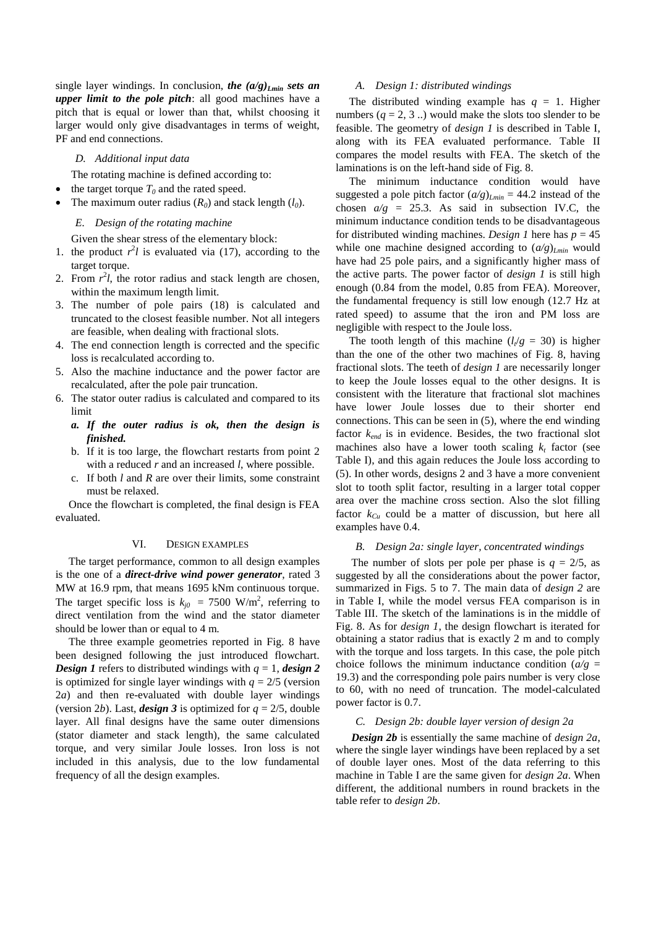single layer windings. In conclusion, *the (a/g)Lmin sets an upper limit to the pole pitch*: all good machines have a pitch that is equal or lower than that, whilst choosing it larger would only give disadvantages in terms of weight, PF and end connections.

#### *D. Additional input data*

The rotating machine is defined according to:

- the target torque  $T_0$  and the rated speed.
- The maximum outer radius  $(R_0)$  and stack length  $(l_0)$ .

#### *E. Design of the rotating machine*

Given the shear stress of the elementary block:

- 1. the product  $r^2l$  is evaluated via (17), according to the target torque.
- 2. From  $r^2l$ , the rotor radius and stack length are chosen, within the maximum length limit.
- 3. The number of pole pairs (18) is calculated and truncated to the closest feasible number. Not all integers are feasible, when dealing with fractional slots.
- 4. The end connection length is corrected and the specific loss is recalculated according to.
- 5. Also the machine inductance and the power factor are recalculated, after the pole pair truncation.
- 6. The stator outer radius is calculated and compared to its limit
	- *a. If the outer radius is ok, then the design is finished.*
	- b. If it is too large, the flowchart restarts from point 2 with a reduced *r* and an increased *l*, where possible.
	- c. If both *l* and *R* are over their limits, some constraint must be relaxed.

Once the flowchart is completed, the final design is FEA evaluated.

# VI. DESIGN EXAMPLES

The target performance, common to all design examples is the one of a *direct-drive wind power generator*, rated 3 MW at 16.9 rpm, that means 1695 kNm continuous torque. The target specific loss is  $k_{j0} = 7500 \text{ W/m}^2$ , referring to direct ventilation from the wind and the stator diameter should be lower than or equal to 4 m.

The three example geometries reported in Fig. 8 have been designed following the just introduced flowchart. *Design 1* refers to distributed windings with  $q = 1$ , *design 2* is optimized for single layer windings with  $q = 2/5$  (version 2*a*) and then re-evaluated with double layer windings (version 2*b*). Last, *design* 3 is optimized for  $q = 2/5$ , double layer. All final designs have the same outer dimensions (stator diameter and stack length), the same calculated torque, and very similar Joule losses. Iron loss is not included in this analysis, due to the low fundamental frequency of all the design examples.

# *A. Design 1: distributed windings*

The distributed winding example has  $q = 1$ . Higher numbers  $(q = 2, 3 ...)$  would make the slots too slender to be feasible. The geometry of *design 1* is described in Table I, along with its FEA evaluated performance. Table II compares the model results with FEA. The sketch of the laminations is on the left-hand side of Fig. 8.

The minimum inductance condition would have suggested a pole pitch factor  $\left(\frac{a}{g}\right)_{Lmin} = 44.2$  instead of the chosen  $a/g = 25.3$ . As said in subsection IV.C, the minimum inductance condition tends to be disadvantageous for distributed winding machines. *Design 1* here has  $p = 45$ while one machine designed according to  $\left(\frac{a}{g}\right)_{Lmin}$  would have had 25 pole pairs, and a significantly higher mass of the active parts. The power factor of *design 1* is still high enough (0.84 from the model, 0.85 from FEA). Moreover, the fundamental frequency is still low enough (12.7 Hz at rated speed) to assume that the iron and PM loss are negligible with respect to the Joule loss.

The tooth length of this machine  $(l_f/g = 30)$  is higher than the one of the other two machines of Fig. 8, having fractional slots. The teeth of *design 1* are necessarily longer to keep the Joule losses equal to the other designs. It is consistent with the literature that fractional slot machines have lower Joule losses due to their shorter end connections. This can be seen in (5), where the end winding factor *kend* is in evidence. Besides, the two fractional slot machines also have a lower tooth scaling  $k<sub>t</sub>$  factor (see Table I), and this again reduces the Joule loss according to (5). In other words, designs 2 and 3 have a more convenient slot to tooth split factor, resulting in a larger total copper area over the machine cross section. Also the slot filling factor  $k_{Cu}$  could be a matter of discussion, but here all examples have 0.4.

# *B. Design 2a: single layer, concentrated windings*

The number of slots per pole per phase is  $q = 2/5$ , as suggested by all the considerations about the power factor, summarized in Figs. 5 to 7. The main data of *design 2* are in Table I, while the model versus FEA comparison is in Table III. The sketch of the laminations is in the middle of Fig. 8. As for *design 1*, the design flowchart is iterated for obtaining a stator radius that is exactly 2 m and to comply with the torque and loss targets. In this case, the pole pitch choice follows the minimum inductance condition  $(a/g =$ 19.3) and the corresponding pole pairs number is very close to 60, with no need of truncation. The model-calculated power factor is 0.7.

# *C. Design 2b: double layer version of design 2a*

*Design 2b* is essentially the same machine of *design 2a*, where the single layer windings have been replaced by a set of double layer ones. Most of the data referring to this machine in Table I are the same given for *design 2a*. When different, the additional numbers in round brackets in the table refer to *design 2b*.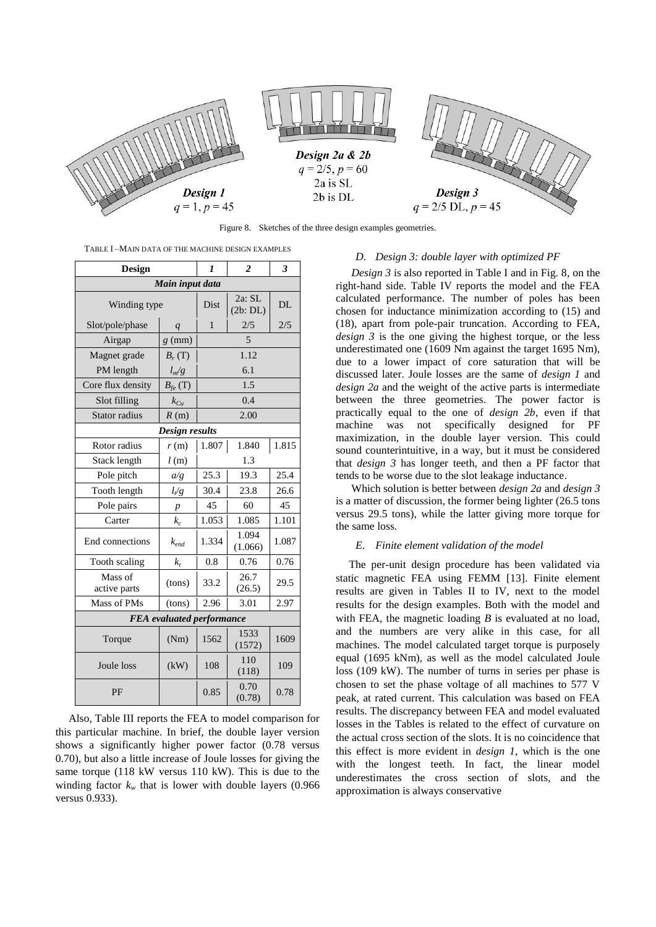

Figure 8. Sketches of the three design examples geometries.

TABLE I –MAIN DATA OF THE MACHINE DESIGN EXAMPLES

| <b>Design</b>           | 1                                | $\overline{2}$ | 3                |       |  |
|-------------------------|----------------------------------|----------------|------------------|-------|--|
|                         | Main input data                  |                |                  |       |  |
| Winding type            | Dist                             | DL             |                  |       |  |
| Slot/pole/phase         | $\overline{q}$                   | 1              | 2/5              | 2/5   |  |
| Airgap                  | $g$ (mm)                         |                | $\overline{5}$   |       |  |
| Magnet grade            | $B_r(T)$                         |                | 1.12             |       |  |
| PM length               | $l_m/g$                          |                | 6.1              |       |  |
| Core flux density       | $B_{fe}$ (T)                     |                | 1.5              |       |  |
| Slot filling            | $k_{Cu}$                         |                | 0.4              |       |  |
| Stator radius           | R(m)                             |                | 2.00             |       |  |
|                         | Design results                   |                |                  |       |  |
| Rotor radius            | r(m)                             | 1.807          | 1.840            | 1.815 |  |
| Stack length            | 1.3                              |                |                  |       |  |
| Pole pitch              | a/g                              | 25.3           | 19.3             | 25.4  |  |
| Tooth length            | $l_{\ell}$ g                     | 30.4           | 23.8             | 26.6  |  |
| Pole pairs              | $\boldsymbol{p}$                 | 45             | 60               | 45    |  |
| Carter                  | $k_c$                            | 1.053          | 1.085<br>1.101   |       |  |
| End connections         | $k_{end}$                        | 1.334          | 1.094<br>(1.066) | 1.087 |  |
| Tooth scaling           | $k_t$                            | 0.8            | 0.76             | 0.76  |  |
| Mass of<br>active parts | (tons)                           | 33.2           | 26.7<br>(26.5)   | 29.5  |  |
| Mass of PMs             | (tons)                           | 2.96           | 3.01             | 2.97  |  |
|                         | <b>FEA</b> evaluated performance |                |                  |       |  |
| Torque                  | 1533<br>1562<br>(1572)           |                | 1609             |       |  |
| Joule loss              | (kW)                             | 108            | 110<br>(118)     | 109   |  |
| PF                      | 0.85                             | 0.70<br>(0.78) | 0.78             |       |  |

Also, Table III reports the FEA to model comparison for this particular machine. In brief, the double layer version shows a significantly higher power factor (0.78 versus 0.70), but also a little increase of Joule losses for giving the same torque (118 kW versus 110 kW). This is due to the winding factor  $k_w$  that is lower with double layers (0.966) versus 0.933).

#### *D. Design 3: double layer with optimized PF*

*Design 3* is also reported in Table I and in Fig. 8, on the right-hand side. Table IV reports the model and the FEA calculated performance. The number of poles has been chosen for inductance minimization according to (15) and (18), apart from pole-pair truncation. According to FEA, *design 3* is the one giving the highest torque, or the less underestimated one (1609 Nm against the target 1695 Nm), due to a lower impact of core saturation that will be discussed later. Joule losses are the same of *design 1* and *design 2a* and the weight of the active parts is intermediate between the three geometries. The power factor is practically equal to the one of *design 2b*, even if that machine was not specifically designed for PF maximization, in the double layer version. This could sound counterintuitive, in a way, but it must be considered that *design 3* has longer teeth, and then a PF factor that tends to be worse due to the slot leakage inductance.

Which solution is better between *design 2a* and *design 3* is a matter of discussion, the former being lighter (26.5 tons versus 29.5 tons), while the latter giving more torque for the same loss.

#### *E. Finite element validation of the model*

The per-unit design procedure has been validated via static magnetic FEA using FEMM [13]. Finite element results are given in Tables II to IV, next to the model results for the design examples. Both with the model and with FEA, the magnetic loading *B* is evaluated at no load, and the numbers are very alike in this case, for all machines. The model calculated target torque is purposely equal (1695 kNm), as well as the model calculated Joule loss (109 kW). The number of turns in series per phase is chosen to set the phase voltage of all machines to 577 V peak, at rated current. This calculation was based on FEA results. The discrepancy between FEA and model evaluated losses in the Tables is related to the effect of curvature on the actual cross section of the slots. It is no coincidence that this effect is more evident in *design 1*, which is the one with the longest teeth. In fact, the linear model underestimates the cross section of slots, and the approximation is always conservative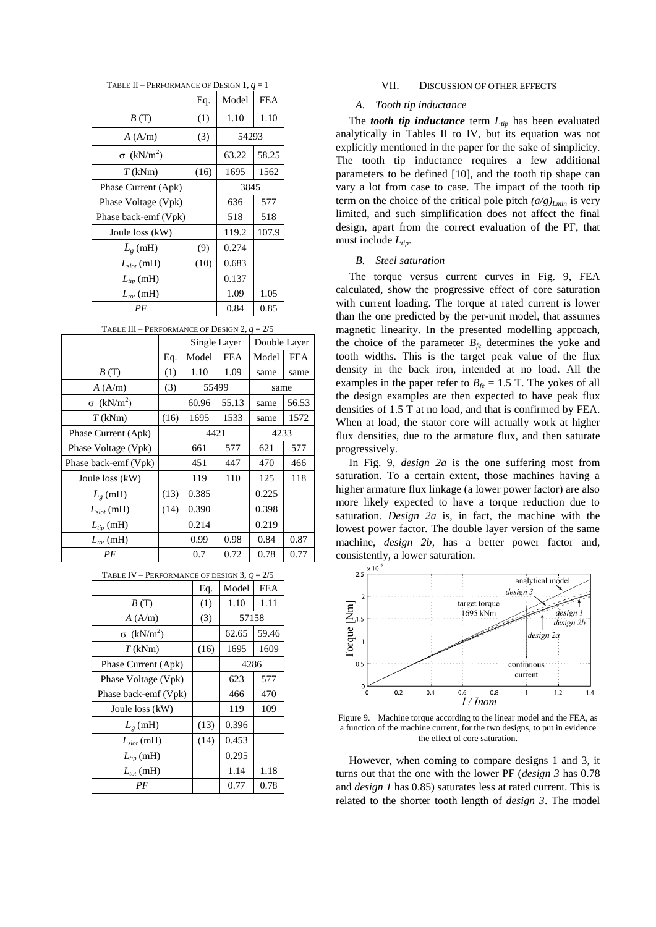| TABLE II – PERFORMANCE OF DESIGN $1, q = 1$ |      |       |            |  |  |  |  |  |  |  |
|---------------------------------------------|------|-------|------------|--|--|--|--|--|--|--|
|                                             | Eq.  | Model | <b>FEA</b> |  |  |  |  |  |  |  |
| B(T)                                        | (1)  | 1.10  | 1.10       |  |  |  |  |  |  |  |
| A(A/m)                                      | (3)  | 54293 |            |  |  |  |  |  |  |  |
| $\sigma$ (kN/m <sup>2</sup> )               |      | 63.22 | 58.25      |  |  |  |  |  |  |  |
| $T$ (kNm)                                   | (16) | 1695  | 1562       |  |  |  |  |  |  |  |
| Phase Current (Apk)                         |      | 3845  |            |  |  |  |  |  |  |  |
| Phase Voltage (Vpk)                         |      | 636   | 577        |  |  |  |  |  |  |  |
| Phase back-emf (Vpk)                        |      | 518   | 518        |  |  |  |  |  |  |  |
| Joule loss (kW)                             |      | 119.2 | 107.9      |  |  |  |  |  |  |  |
| $L_g(mH)$                                   | (9)  | 0.274 |            |  |  |  |  |  |  |  |
| $L_{slot}$ (mH)                             | (10) | 0.683 |            |  |  |  |  |  |  |  |
| $L_{tip}$ (mH)                              |      | 0.137 |            |  |  |  |  |  |  |  |
| $L_{tot}$ (mH)                              |      | 1.09  | 1.05       |  |  |  |  |  |  |  |
| PF                                          |      | 0.84  | 0.85       |  |  |  |  |  |  |  |

TABLE III – PERFORMANCE OF DESIGN 2, *q* = 2/5

|                               |      | Single Layer |            | Double Layer |            |
|-------------------------------|------|--------------|------------|--------------|------------|
|                               | Eq.  | Model        | <b>FEA</b> | Model        | <b>FEA</b> |
| B(T)                          | (1)  | 1.10         | 1.09       | same         | same       |
| A(A/m)                        | (3)  |              | 55499      | same         |            |
| $\sigma$ (kN/m <sup>2</sup> ) |      | 60.96        | 55.13      | same         | 56.53      |
| $T$ (kNm)                     | (16) | 1695         | 1533       | same         | 1572       |
| Phase Current (Apk)           |      | 4421         |            | 4233         |            |
| Phase Voltage (Vpk)           |      | 661          | 577        | 621          | 577        |
| Phase back-emf (Vpk)          |      | 451          | 447        | 470          | 466        |
| Joule loss (kW)               |      | 119          | 110        | 125          | 118        |
| $L_{\varrho}$ (mH)            | (13) | 0.385        |            | 0.225        |            |
| $L_{slot}$ (mH)               | (14) | 0.390        |            | 0.398        |            |
| $L_{tip}$ (mH)                |      | 0.214        |            | 0.219        |            |
| $L_{tot}$ (mH)                |      | 0.99         | 0.98       | 0.84         | 0.87       |
| PF                            |      | 0.7          | 0.72       | 0.78         | 0.77       |

|  | TABLE IV – PERFORMANCE OF DESIGN 3, $Q = 2/5$ |  |  |
|--|-----------------------------------------------|--|--|
|--|-----------------------------------------------|--|--|

| 171 DL 17<br><b>T</b> EXI ORWANCE OF DESIGN $\dot{v}$ , $\dot{g} = \dot{z}/\dot{v}$ |      |       |            |  |  |  |  |  |
|-------------------------------------------------------------------------------------|------|-------|------------|--|--|--|--|--|
|                                                                                     | Eq.  | Model | <b>FEA</b> |  |  |  |  |  |
| B(T)                                                                                | (1)  | 1.10  | 1.11       |  |  |  |  |  |
| A(A/m)                                                                              | (3)  | 57158 |            |  |  |  |  |  |
| $\sigma$ (kN/m <sup>2</sup> )                                                       |      | 62.65 | 59.46      |  |  |  |  |  |
| $T$ (kNm)                                                                           | (16) | 1695  | 1609       |  |  |  |  |  |
| Phase Current (Apk)                                                                 |      | 4286  |            |  |  |  |  |  |
| Phase Voltage (Vpk)                                                                 |      | 623   | 577        |  |  |  |  |  |
| Phase back-emf (Vpk)                                                                |      | 466   | 470        |  |  |  |  |  |
| Joule loss (kW)                                                                     |      | 119   | 109        |  |  |  |  |  |
| $L_{\varrho}$ (mH)                                                                  | (13) | 0.396 |            |  |  |  |  |  |
| $L_{slot}$ (mH)                                                                     | (14) | 0.453 |            |  |  |  |  |  |
| $L_{tip}$ (mH)                                                                      |      | 0.295 |            |  |  |  |  |  |
| $L_{tot}$ (mH)                                                                      |      | 1.14  | 1.18       |  |  |  |  |  |
| РF                                                                                  |      | 0.77  | 0.78       |  |  |  |  |  |

#### VII. DISCUSSION OF OTHER EFFECTS

# *A. Tooth tip inductance*

The *tooth tip inductance* term *Ltip* has been evaluated analytically in Tables II to IV, but its equation was not explicitly mentioned in the paper for the sake of simplicity. The tooth tip inductance requires a few additional parameters to be defined [10], and the tooth tip shape can vary a lot from case to case. The impact of the tooth tip term on the choice of the critical pole pitch  $\left(\frac{a}{g}\right)_{L_{min}}$  is very limited, and such simplification does not affect the final design, apart from the correct evaluation of the PF, that must include *Ltip*.

# *B. Steel saturation*

The torque versus current curves in Fig. 9, FEA calculated, show the progressive effect of core saturation with current loading. The torque at rated current is lower than the one predicted by the per-unit model, that assumes magnetic linearity. In the presented modelling approach, the choice of the parameter  $B_f$  determines the yoke and tooth widths. This is the target peak value of the flux density in the back iron, intended at no load. All the examples in the paper refer to  $B_f = 1.5$  T. The yokes of all the design examples are then expected to have peak flux densities of 1.5 T at no load, and that is confirmed by FEA. When at load, the stator core will actually work at higher flux densities, due to the armature flux, and then saturate progressively.

In Fig. 9, *design 2a* is the one suffering most from saturation. To a certain extent, those machines having a higher armature flux linkage (a lower power factor) are also more likely expected to have a torque reduction due to saturation. *Design 2a* is, in fact, the machine with the lowest power factor. The double layer version of the same machine, *design 2b*, has a better power factor and, consistently, a lower saturation.



Figure 9. Machine torque according to the linear model and the FEA, as a function of the machine current, for the two designs, to put in evidence the effect of core saturation.

However, when coming to compare designs 1 and 3, it turns out that the one with the lower PF (*design 3* has 0.78 and *design 1* has 0.85) saturates less at rated current. This is related to the shorter tooth length of *design 3*. The model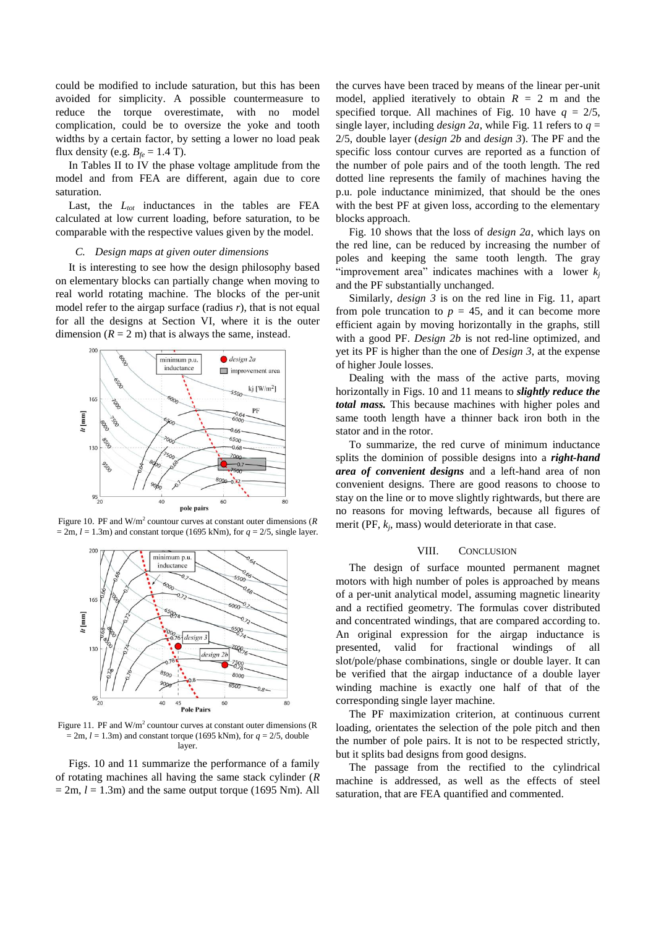could be modified to include saturation, but this has been avoided for simplicity. A possible countermeasure to reduce the torque overestimate, with no model complication, could be to oversize the yoke and tooth widths by a certain factor, by setting a lower no load peak flux density (e.g.  $B_f = 1.4$  T).

In Tables II to IV the phase voltage amplitude from the model and from FEA are different, again due to core saturation.

Last, the *Ltot* inductances in the tables are FEA calculated at low current loading, before saturation, to be comparable with the respective values given by the model.

#### *C. Design maps at given outer dimensions*

It is interesting to see how the design philosophy based on elementary blocks can partially change when moving to real world rotating machine. The blocks of the per-unit model refer to the airgap surface (radius *r*), that is not equal for all the designs at Section VI, where it is the outer dimension  $(R = 2$  m) that is always the same, instead.



Figure 10. PF and W/m<sup>2</sup> countour curves at constant outer dimensions (R  $= 2m$ ,  $l = 1.3m$ ) and constant torque (1695 kNm), for  $q = 2/5$ , single layer.



Figure 11. PF and  $W/m^2$  countour curves at constant outer dimensions (R  $= 2m$ ,  $l = 1.3m$ ) and constant torque (1695 kNm), for  $q = 2/5$ , double layer.

Figs. 10 and 11 summarize the performance of a family of rotating machines all having the same stack cylinder (*R*  $= 2m$ ,  $l = 1.3m$ ) and the same output torque (1695 Nm). All

the curves have been traced by means of the linear per-unit model, applied iteratively to obtain  $R = 2$  m and the specified torque. All machines of Fig. 10 have  $q = 2/5$ , single layer, including *design 2a*, while Fig. 11 refers to  $q =$ 2/5, double layer (*design 2b* and *design 3*). The PF and the specific loss contour curves are reported as a function of the number of pole pairs and of the tooth length. The red dotted line represents the family of machines having the p.u. pole inductance minimized, that should be the ones with the best PF at given loss, according to the elementary blocks approach.

Fig. 10 shows that the loss of *design 2a*, which lays on the red line, can be reduced by increasing the number of poles and keeping the same tooth length. The gray "improvement area" indicates machines with a lower  $k_i$ and the PF substantially unchanged.

Similarly, *design 3* is on the red line in Fig. 11, apart from pole truncation to  $p = 45$ , and it can become more efficient again by moving horizontally in the graphs, still with a good PF. *Design 2b* is not red-line optimized, and yet its PF is higher than the one of *Design 3*, at the expense of higher Joule losses.

Dealing with the mass of the active parts, moving horizontally in Figs. 10 and 11 means to *slightly reduce the total mass.* This because machines with higher poles and same tooth length have a thinner back iron both in the stator and in the rotor.

To summarize, the red curve of minimum inductance splits the dominion of possible designs into a *right-hand area of convenient designs* and a left-hand area of non convenient designs. There are good reasons to choose to stay on the line or to move slightly rightwards, but there are no reasons for moving leftwards, because all figures of merit (PF,  $k_j$ , mass) would deteriorate in that case.

# VIII. CONCLUSION

The design of surface mounted permanent magnet motors with high number of poles is approached by means of a per-unit analytical model, assuming magnetic linearity and a rectified geometry. The formulas cover distributed and concentrated windings, that are compared according to. An original expression for the airgap inductance is presented, valid for fractional windings of all slot/pole/phase combinations, single or double layer. It can be verified that the airgap inductance of a double layer winding machine is exactly one half of that of the corresponding single layer machine.

The PF maximization criterion, at continuous current loading, orientates the selection of the pole pitch and then the number of pole pairs. It is not to be respected strictly, but it splits bad designs from good designs.

The passage from the rectified to the cylindrical machine is addressed, as well as the effects of steel saturation, that are FEA quantified and commented.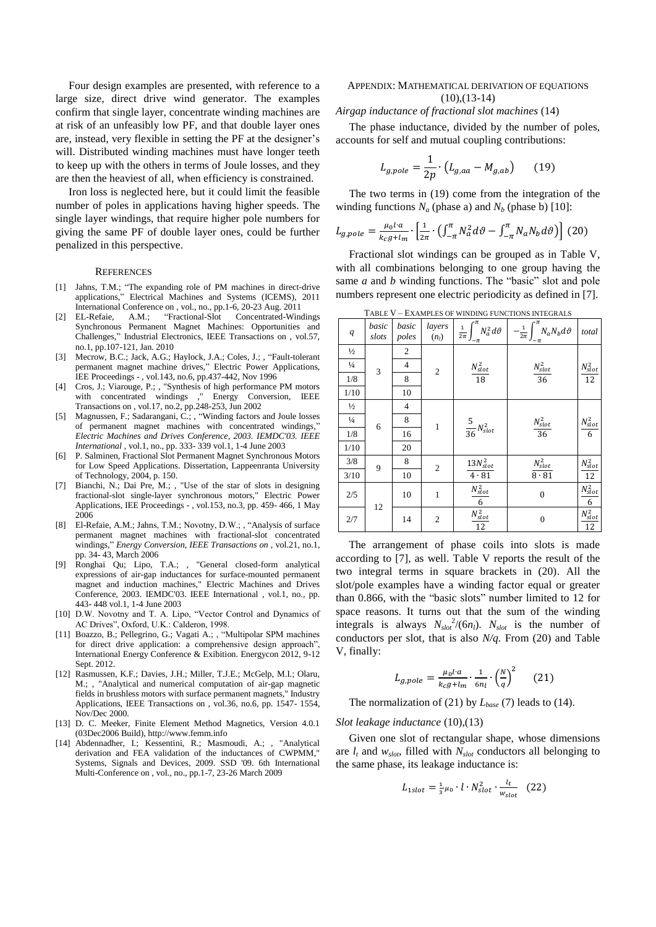Four design examples are presented, with reference to a large size, direct drive wind generator. The examples confirm that single layer, concentrate winding machines are at risk of an unfeasibly low PF, and that double layer ones are, instead, very flexible in setting the PF at the designer's will. Distributed winding machines must have longer teeth to keep up with the others in terms of Joule losses, and they are then the heaviest of all, when efficiency is constrained.

Iron loss is neglected here, but it could limit the feasible number of poles in applications having higher speeds. The single layer windings, that require higher pole numbers for giving the same PF of double layer ones, could be further penalized in this perspective.

#### **REFERENCES**

- [1] Jahns, T.M.; "The expanding role of PM machines in direct-drive applications," Electrical Machines and Systems (ICEMS), 2011 International Conference on , vol., no., pp.1-6, 20-23 Aug. 2011
- [2] EL-Refaie, A.M.; "Fractional-Slot Concentrated-Windings Synchronous Permanent Magnet Machines: Opportunities and Challenges," Industrial Electronics, IEEE Transactions on , vol.57, no.1, pp.107-121, Jan. 2010
- [3] Mecrow, B.C.; Jack, A.G.; Haylock, J.A.; Coles, J.; , "Fault-tolerant permanent magnet machine drives," Electric Power Applications, IEE Proceedings - , vol.143, no.6, pp.437-442, Nov 1996
- [4] Cros, J.; Viarouge, P.; , "Synthesis of high performance PM motors with concentrated windings ," Energy Conversion, IEEE Transactions on , vol.17, no.2, pp.248-253, Jun 2002
- [5] Magnussen, F.; Sadarangani, C.; , "Winding factors and Joule losses of permanent magnet machines with concentrated windings, *Electric Machines and Drives Conference, 2003. IEMDC'03. IEEE International* , vol.1, no., pp. 333- 339 vol.1, 1-4 June 2003
- [6] P. Salminen, Fractional Slot Permanent Magnet Synchronous Motors for Low Speed Applications. Dissertation, Lappeenranta University of Technology, 2004, p. 150.
- [7] Bianchi, N.; Dai Pre, M.; , "Use of the star of slots in designing fractional-slot single-layer synchronous motors," Electric Power Applications, IEE Proceedings - , vol.153, no.3, pp. 459- 466, 1 May 2006
- [8] El-Refaie, A.M.; Jahns, T.M.; Novotny, D.W.; , "Analysis of surface permanent magnet machines with fractional-slot concentrated windings," *Energy Conversion, IEEE Transactions on* , vol.21, no.1, pp. 34- 43, March 2006
- Ronghai Qu; Lipo, T.A.; , "General closed-form analytical expressions of air-gap inductances for surface-mounted permanent magnet and induction machines," Electric Machines and Drives Conference, 2003. IEMDC'03. IEEE International , vol.1, no., pp. 443- 448 vol.1, 1-4 June 2003
- [10] D.W. Novotny and T. A. Lipo, "Vector Control and Dynamics of AC Drives", Oxford, U.K.: Calderon, 1998.
- [11] Boazzo, B.; Pellegrino, G.; Vagati A.; , "Multipolar SPM machines for direct drive application: a comprehensive design approach", International Energy Conference & Exibition. Energycon 2012, 9-12 Sept. 2012.
- [12] Rasmussen, K.F.; Davies, J.H.; Miller, T.J.E.; McGelp, M.I.; Olaru, M.; , "Analytical and numerical computation of air-gap magnetic fields in brushless motors with surface permanent magnets," Industry Applications, IEEE Transactions on , vol.36, no.6, pp. 1547- 1554, Nov/Dec 2000.
- [13] D. C. Meeker, Finite Element Method Magnetics, Version 4.0.1 (03Dec2006 Build)[, http://www.femm.info](http://www.femm.info/)
- [14] Abdennadher, I.; Kessentini, R.; Masmoudi, A.; , "Analytical derivation and FEA validation of the inductances of CWPMM," Systems, Signals and Devices, 2009. SSD '09. 6th International Multi-Conference on , vol., no., pp.1-7, 23-26 March 2009

# APPENDIX: MATHEMATICAL DERIVATION OF EQUATIONS  $(10),(13-14)$

#### *Airgap inductance of fractional slot machines* (14)

The phase inductance, divided by the number of poles, accounts for self and mutual coupling contributions:

$$
L_{g,pole} = \frac{1}{2p} \cdot \left( L_{g,aa} - M_{g,ab} \right) \tag{19}
$$

The two terms in (19) come from the integration of the winding functions  $N_a$  (phase a) and  $N_b$  (phase b) [10]:

$$
L_{g,pole} = \frac{\mu_0 l \cdot a}{k_c g + l_m} \cdot \left[ \frac{1}{2\pi} \cdot \left( \int_{-\pi}^{\pi} N_a^2 d\vartheta - \int_{-\pi}^{\pi} N_a N_b d\vartheta \right) \right] (20)
$$

Fractional slot windings can be grouped as in Table V, with all combinations belonging to one group having the same *a* and *b* winding functions. The "basic" slot and pole numbers represent one electric periodicity as defined in [7].

|               | TABLE V - EXAMPLES OF WINDING FUNCTIONS INTEGRALS |                |                   |                                                    |                                                          |                         |  |  |  |  |  |
|---------------|---------------------------------------------------|----------------|-------------------|----------------------------------------------------|----------------------------------------------------------|-------------------------|--|--|--|--|--|
| q             | basic<br>slots                                    | basic<br>poles | layers<br>$(n_l)$ | $\frac{1}{2\pi}\int_{-\pi}^{\pi} N_a^2 d\vartheta$ | $-\frac{1}{2\pi}\int_{-\infty}^{\pi} N_a N_b d\vartheta$ | total                   |  |  |  |  |  |
| $\frac{1}{2}$ |                                                   | $\overline{c}$ |                   |                                                    |                                                          |                         |  |  |  |  |  |
| $\frac{1}{4}$ | 3                                                 | $\overline{4}$ | $\overline{c}$    |                                                    |                                                          |                         |  |  |  |  |  |
| 1/8           |                                                   | 8              |                   | $\frac{N_{slot}^2}{18}$                            | $\frac{N_{slot}^2}{36}$                                  | $\frac{N_{slot}^2}{12}$ |  |  |  |  |  |
| 1/10          |                                                   | 10             |                   |                                                    |                                                          |                         |  |  |  |  |  |
| $\frac{1}{2}$ |                                                   | $\overline{4}$ |                   |                                                    |                                                          |                         |  |  |  |  |  |
| $\frac{1}{4}$ | 6                                                 | 8              | $\mathbf{1}$      |                                                    |                                                          | $\frac{N_{slot}^2}{6}$  |  |  |  |  |  |
| 1/8           |                                                   | 16             |                   | $rac{5}{36}N_{slot}^2$                             | $\frac{N_{slot}^2}{36}$                                  |                         |  |  |  |  |  |
| 1/10          |                                                   | 20             |                   |                                                    |                                                          |                         |  |  |  |  |  |
| 3/8           | 9                                                 | 8              | $\overline{c}$    |                                                    |                                                          |                         |  |  |  |  |  |
| 3/10          |                                                   | 10             |                   | $\frac{13 N_{slot}^2}{4\cdot 81}$                  | $\frac{N_{slot}^2}{8\cdot 81}$                           | $\frac{N_{slot}^2}{12}$ |  |  |  |  |  |
| $2/5$         | 12                                                | 10             | $\mathbf{1}$      | $\frac{N_{slot}^2}{6}$                             | $\mathbf{0}$                                             | $N_{slot}^2$<br>6       |  |  |  |  |  |
| $2/7$         |                                                   | 14             | $\mathfrak{2}$    | $\frac{N_{slot}^2}{2}$<br>12                       | $\boldsymbol{0}$                                         | $N_{slot}^2$<br>12      |  |  |  |  |  |

The arrangement of phase coils into slots is made according to [7], as well. Table V reports the result of the two integral terms in square brackets in (20). All the slot/pole examples have a winding factor equal or greater than 0.866, with the "basic slots" number limited to 12 for space reasons. It turns out that the sum of the winding integrals is always  $N_{slot}^2/(6n_l)$ .  $N_{slot}$  is the number of conductors per slot, that is also *N/q*. From (20) and Table V, finally:

$$
L_{g,pole} = \frac{\mu_0 l \cdot a}{k_c g + l_m} \cdot \frac{1}{6n_l} \cdot \left(\frac{N}{q}\right)^2 \qquad (21)
$$

The normalization of (21) by *Lbase* (7) leads to (14).

#### *Slot leakage inductance* (10),(13)

Given one slot of rectangular shape, whose dimensions are  $l_t$  and  $w_{slot}$ , filled with  $N_{slot}$  conductors all belonging to the same phase, its leakage inductance is:

$$
L_{1slot} = \frac{1}{3}\mu_0 \cdot l \cdot N_{slot}^2 \cdot \frac{l_t}{w_{slot}} \quad (22)
$$